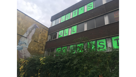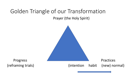# Golden Triangle of our Transformation Prayer (the Holy Spirit)

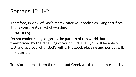### Romans 12. 1-2

Therefore, in view of God's mercy, offer your bodies as living sacrifices. This is your spiritual act of worship.

(PRACTICES)

Do not conform any longer to the pattern of this world, but be transformed by the renewing of your mind. Then you will be able to test and approve what God's will is, His good, pleasing and perfect will. (PROGRESS)

Transformation is from the same root Greek word as 'metamorphosis'.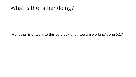# What is the father doing?

'My father is at work to this very day, and I too am working'. John 5.17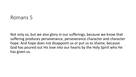### Romans 5

Not only so, but we also glory in our sufferings, because we know that suffering produces perseverance, perseverance character and character hope. And hope does not disappoint us or put us to shame, because God has poured out His love into our hearts by the Holy Spirit who He has given us.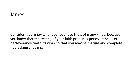### James 1

Consider it pure joy whenever you face trials of many kinds, because you know that the testing of your faith produces perseverance. Let perseverance finish its work so that you may be mature and complete not lacking anything.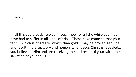#### 1 Peter

In all this you greatly rejoice, though now for a little while you may have had to suffer in all kinds of trials. These have come so that your faith – which is of greater worth than gold – may be proved genuine and result in praise, glory and honour when Jesus Christ is revealed… you believe in Him and are receiving the end result of your faith, the salvation of your souls.